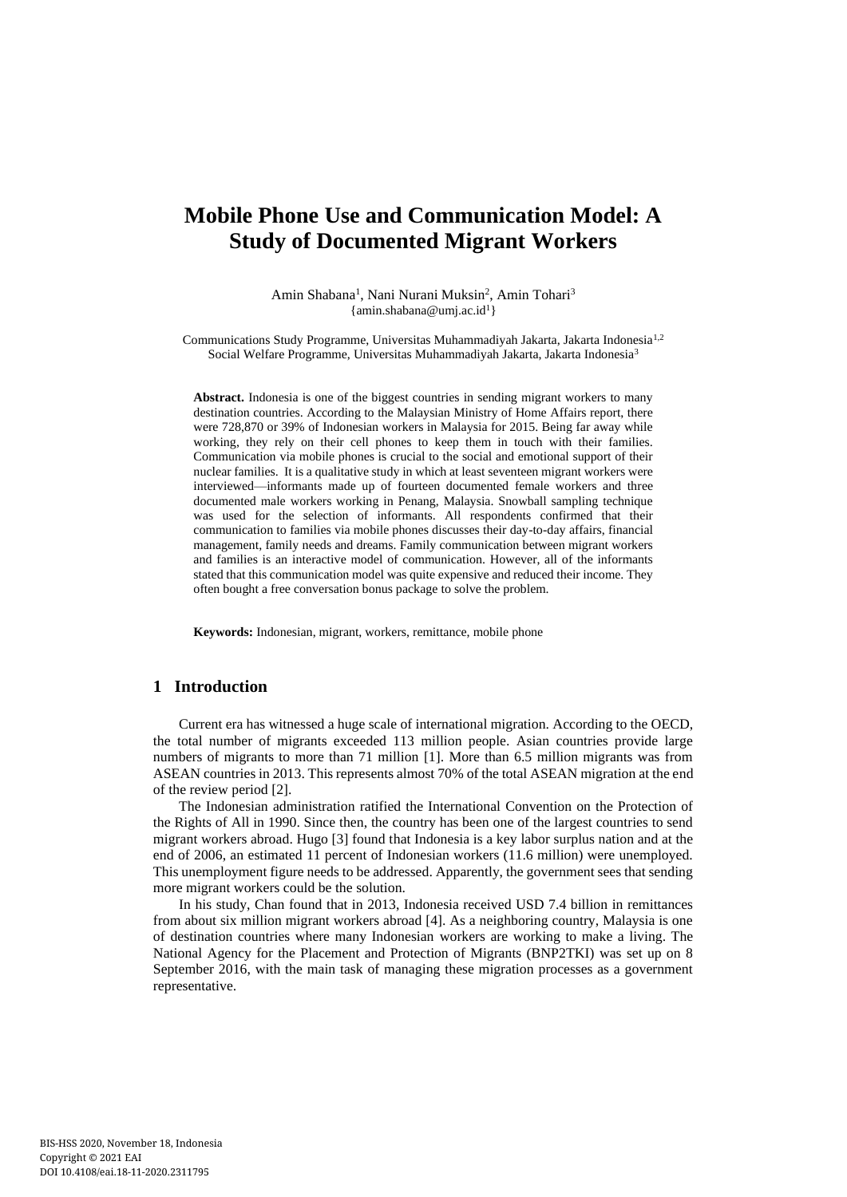# **Mobile Phone Use and Communication Model: A Study of Documented Migrant Workers**

Amin Shabana<sup>1</sup>, Nani Nurani Muksin<sup>2</sup>, Amin Tohari<sup>3</sup>  $\{\text{amin.shabana@umj.ac.id}^{1}\}$  $\{\text{amin.shabana@umj.ac.id}^{1}\}$  $\{\text{amin.shabana@umj.ac.id}^{1}\}$ 

Communications Study Programme, Universitas Muhammadiyah Jakarta, Jakarta Indonesia1,2 Social Welfare Programme, Universitas Muhammadiyah Jakarta, Jakarta Indonesia<sup>3</sup>

**Abstract.** Indonesia is one of the biggest countries in sending migrant workers to many destination countries. According to the Malaysian Ministry of Home Affairs report, there were 728,870 or 39% of Indonesian workers in Malaysia for 2015. Being far away while working, they rely on their cell phones to keep them in touch with their families. Communication via mobile phones is crucial to the social and emotional support of their nuclear families. It is a qualitative study in which at least seventeen migrant workers were interviewed—informants made up of fourteen documented female workers and three documented male workers working in Penang, Malaysia. Snowball sampling technique was used for the selection of informants. All respondents confirmed that their communication to families via mobile phones discusses their day-to-day affairs, financial management, family needs and dreams. Family communication between migrant workers and families is an interactive model of communication. However, all of the informants stated that this communication model was quite expensive and reduced their income. They often bought a free conversation bonus package to solve the problem.

**Keywords:** Indonesian, migrant, workers, remittance, mobile phone

## **1 Introduction**

Current era has witnessed a huge scale of international migration. According to the OECD, the total number of migrants exceeded 113 million people. Asian countries provide large numbers of migrants to more than 71 million [1]. More than 6.5 million migrants was from ASEAN countries in 2013. This represents almost 70% of the total ASEAN migration at the end of the review period [2].

The Indonesian administration ratified the International Convention on the Protection of the Rights of All in 1990. Since then, the country has been one of the largest countries to send migrant workers abroad. Hugo [3] found that Indonesia is a key labor surplus nation and at the end of 2006, an estimated 11 percent of Indonesian workers (11.6 million) were unemployed. This unemployment figure needs to be addressed. Apparently, the government sees that sending more migrant workers could be the solution.

In his study, Chan found that in 2013, Indonesia received USD 7.4 billion in remittances from about six million migrant workers abroad [4]. As a neighboring country, Malaysia is one of destination countries where many Indonesian workers are working to make a living. The National Agency for the Placement and Protection of Migrants (BNP2TKI) was set up on 8 September 2016, with the main task of managing these migration processes as a government representative.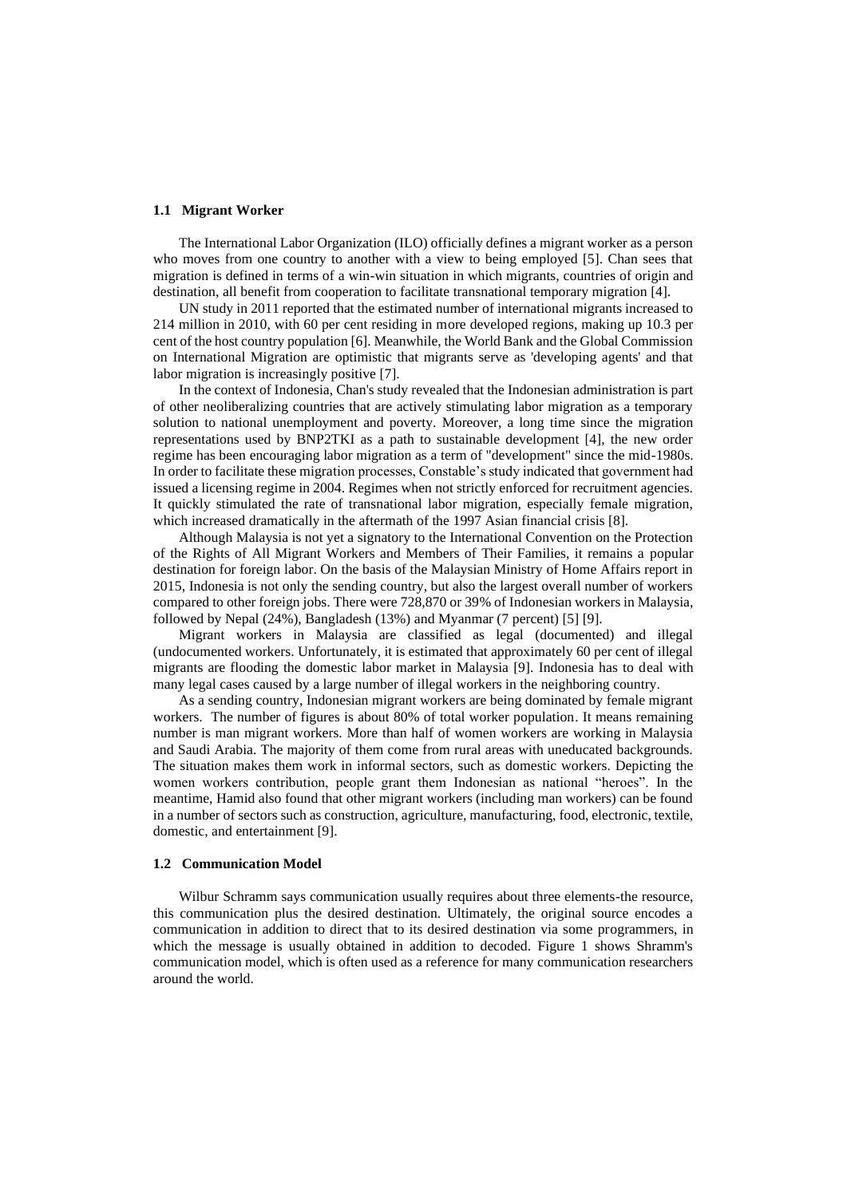#### **1.1 Migrant Worker**

The International Labor Organization (ILO) officially defines a migrant worker as a person who moves from one country to another with a view to being employed [5]. Chan sees that migration is defined in terms of a win-win situation in which migrants, countries of origin and destination, all benefit from cooperation to facilitate transnational temporary migration [4].

UN study in 2011 reported that the estimated number of international migrants increased to 214 million in 2010, with 60 per cent residing in more developed regions, making up 10.3 per cent of the host country population [6]. Meanwhile, the World Bank and the Global Commission on International Migration are optimistic that migrants serve as 'developing agents' and that labor migration is increasingly positive [7].

In the context of Indonesia, Chan's study revealed that the Indonesian administration is part of other neoliberalizing countries that are actively stimulating labor migration as a temporary solution to national unemployment and poverty. Moreover, a long time since the migration representations used by BNP2TKI as a path to sustainable development [4], the new order regime has been encouraging labor migration as a term of "development" since the mid-1980s. In order to facilitate these migration processes, Constable's study indicated that government had issued a licensing regime in 2004. Regimes when not strictly enforced for recruitment agencies. It quickly stimulated the rate of transnational labor migration, especially female migration, which increased dramatically in the aftermath of the 1997 Asian financial crisis [8].

Although Malaysia is not yet a signatory to the International Convention on the Protection of the Rights of All Migrant Workers and Members of Their Families, it remains a popular destination for foreign labor. On the basis of the Malaysian Ministry of Home Affairs report in 2015, Indonesia is not only the sending country, but also the largest overall number of workers compared to other foreign jobs. There were 728,870 or 39% of Indonesian workers in Malaysia, followed by Nepal (24%), Bangladesh (13%) and Myanmar (7 percent) [5] [9].

Migrant workers in Malaysia are classified as legal (documented) and illegal (undocumented workers. Unfortunately, it is estimated that approximately 60 per cent of illegal migrants are flooding the domestic labor market in Malaysia [9]. Indonesia has to deal with many legal cases caused by a large number of illegal workers in the neighboring country.

As a sending country, Indonesian migrant workers are being dominated by female migrant workers. The number of figures is about 80% of total worker population. It means remaining number is man migrant workers. More than half of women workers are working in Malaysia and Saudi Arabia. The majority of them come from rural areas with uneducated backgrounds. The situation makes them work in informal sectors, such as domestic workers. Depicting the women workers contribution, people grant them Indonesian as national "heroes". In the meantime, Hamid also found that other migrant workers (including man workers) can be found in a number of sectors such as construction, agriculture, manufacturing, food, electronic, textile, domestic, and entertainment [9].

#### **1.2 Communication Model**

Wilbur Schramm says communication usually requires about three elements-the resource, this communication plus the desired destination. Ultimately, the original source encodes a communication in addition to direct that to its desired destination via some programmers, in which the message is usually obtained in addition to decoded. Figure 1 shows Shramm's communication model, which is often used as a reference for many communication researchers around the world.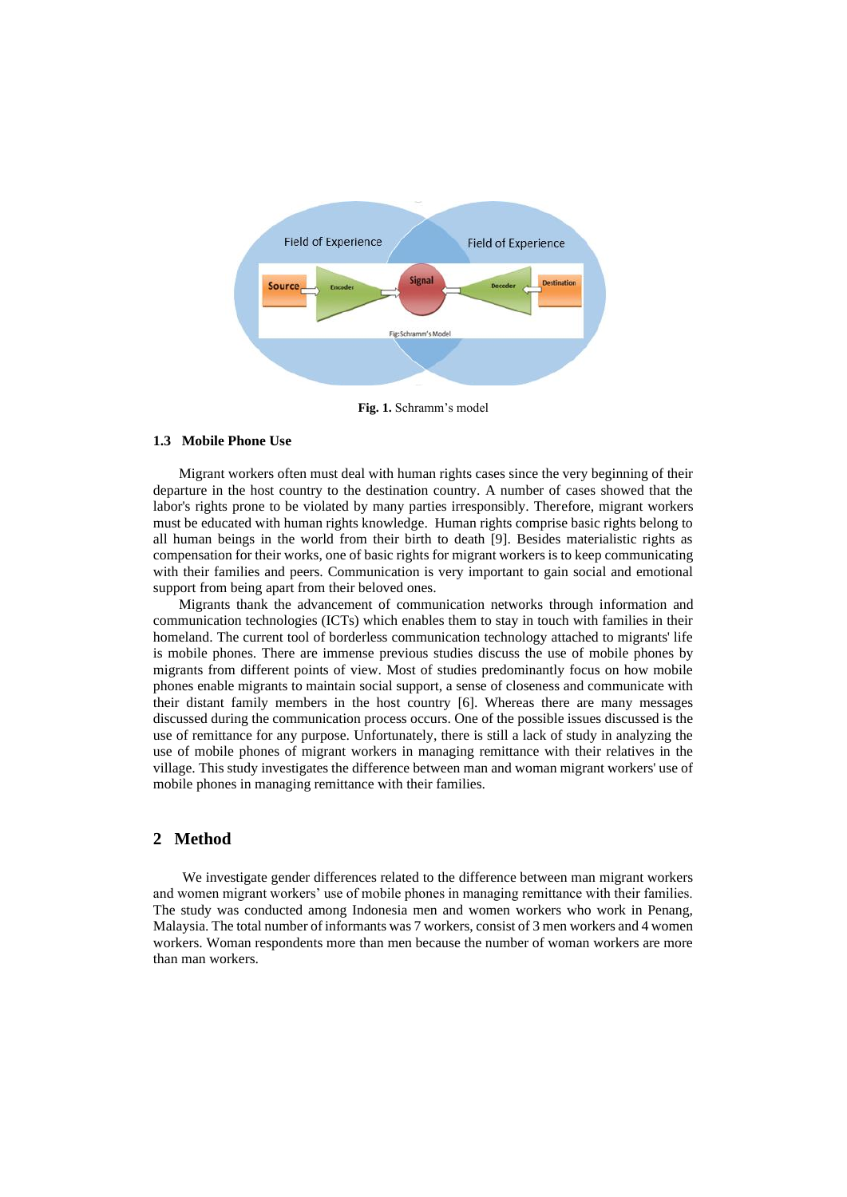

**Fig. 1.** Schramm's model

#### **1.3 Mobile Phone Use**

Migrant workers often must deal with human rights cases since the very beginning of their departure in the host country to the destination country. A number of cases showed that the labor's rights prone to be violated by many parties irresponsibly. Therefore, migrant workers must be educated with human rights knowledge. Human rights comprise basic rights belong to all human beings in the world from their birth to death [9]. Besides materialistic rights as compensation for their works, one of basic rights for migrant workers is to keep communicating with their families and peers. Communication is very important to gain social and emotional support from being apart from their beloved ones.

Migrants thank the advancement of communication networks through information and communication technologies (ICTs) which enables them to stay in touch with families in their homeland. The current tool of borderless communication technology attached to migrants' life is mobile phones. There are immense previous studies discuss the use of mobile phones by migrants from different points of view. Most of studies predominantly focus on how mobile phones enable migrants to maintain social support, a sense of closeness and communicate with their distant family members in the host country [6]. Whereas there are many messages discussed during the communication process occurs. One of the possible issues discussed is the use of remittance for any purpose. Unfortunately, there is still a lack of study in analyzing the use of mobile phones of migrant workers in managing remittance with their relatives in the village. This study investigates the difference between man and woman migrant workers' use of mobile phones in managing remittance with their families.

### **2 Method**

We investigate gender differences related to the difference between man migrant workers and women migrant workers' use of mobile phones in managing remittance with their families. The study was conducted among Indonesia men and women workers who work in Penang, Malaysia. The total number of informants was 7 workers, consist of 3 men workers and 4 women workers. Woman respondents more than men because the number of woman workers are more than man workers.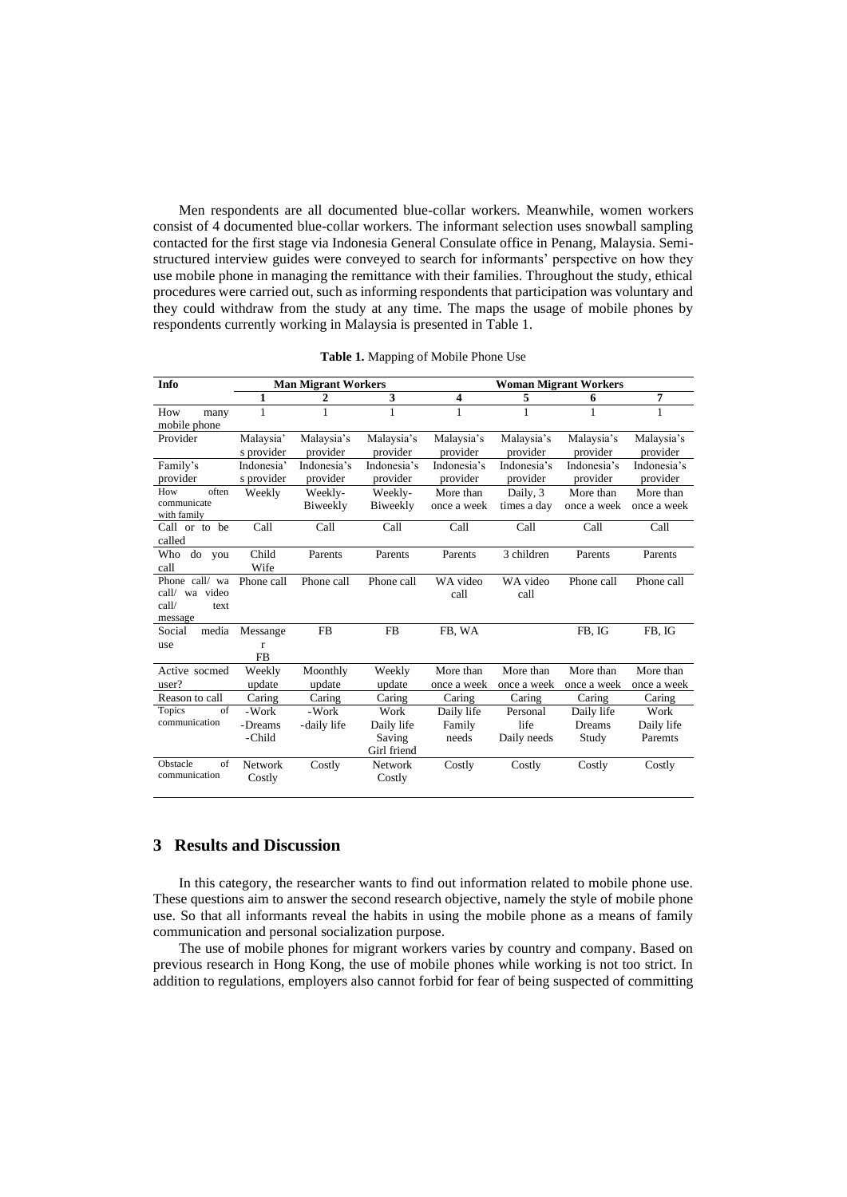Men respondents are all documented blue-collar workers. Meanwhile, women workers consist of 4 documented blue-collar workers. The informant selection uses snowball sampling contacted for the first stage via Indonesia General Consulate office in Penang, Malaysia. Semistructured interview guides were conveyed to search for informants' perspective on how they use mobile phone in managing the remittance with their families. Throughout the study, ethical procedures were carried out, such as informing respondents that participation was voluntary and they could withdraw from the study at any time. The maps the usage of mobile phones by respondents currently working in Malaysia is presented in Table 1.

| Info                                                            | <b>Man Migrant Workers</b>            |                         |                                             | <b>Woman Migrant Workers</b>  |                                 |                               |                               |
|-----------------------------------------------------------------|---------------------------------------|-------------------------|---------------------------------------------|-------------------------------|---------------------------------|-------------------------------|-------------------------------|
|                                                                 | 1                                     | 2                       | 3                                           | 4                             | 5                               | 6                             | 7                             |
| How<br>many<br>mobile phone                                     | 1                                     | 1                       |                                             | $\mathbf{1}$                  | 1                               | 1                             | $\mathbf{1}$                  |
| Provider                                                        | Malaysia'<br>s provider               | Malaysia's<br>provider  | Malaysia's<br>provider                      | Malaysia's<br>provider        | Malaysia's<br>provider          | Malaysia's<br>provider        | Malaysia's<br>provider        |
| Family's<br>provider                                            | Indonesia'<br>s provider              | Indonesia's<br>provider | Indonesia's<br>provider                     | Indonesia's<br>provider       | Indonesia's<br>provider         | Indonesia's<br>provider       | Indonesia's<br>provider       |
| often<br>How<br>communicate<br>with family                      | Weekly                                | Weekly-<br>Biweekly     | Weekly-<br>Biweekly                         | More than<br>once a week      | Daily, 3<br>times a day         | More than<br>once a week      | More than<br>once a week      |
| Call or to be<br>called                                         | Call                                  | Call                    | Call                                        | Call                          | Call                            | Call                          | Call                          |
| Who<br>do<br>you<br>call                                        | Child<br>Wife                         | Parents                 | Parents                                     | Parents                       | 3 children                      | Parents                       | Parents                       |
| Phone call/ wa<br>wa video<br>call/<br>call/<br>text<br>message | Phone call                            | Phone call              | Phone call                                  | WA video<br>call              | WA video<br>call                | Phone call                    | Phone call                    |
| media<br>Social<br>use                                          | Messange<br>$\mathbf{r}$<br><b>FB</b> | <b>FB</b>               | <b>FB</b>                                   | FB, WA                        |                                 | FB, IG                        | FB, IG                        |
| Active socmed<br>user?                                          | Weekly<br>update                      | Moonthly<br>update      | Weekly<br>update                            | More than<br>once a week      | More than<br>once a week        | More than<br>once a week      | More than<br>once a week      |
| Reason to call                                                  | Caring                                | Caring                  | Caring                                      | Caring                        | Caring                          | Caring                        | Caring                        |
| of<br><b>Topics</b><br>communication                            | -Work<br>- Dreams<br>-Child           | -Work<br>-daily life    | Work<br>Daily life<br>Saving<br>Girl friend | Daily life<br>Family<br>needs | Personal<br>life<br>Daily needs | Daily life<br>Dreams<br>Study | Work<br>Daily life<br>Paremts |
| Obstacle<br>of<br>communication                                 | Network<br>Costly                     | Costly                  | Network<br>Costly                           | Costly                        | Costly                          | Costly                        | Costly                        |

**Table 1.** Mapping of Mobile Phone Use

## **3 Results and Discussion**

In this category, the researcher wants to find out information related to mobile phone use. These questions aim to answer the second research objective, namely the style of mobile phone use. So that all informants reveal the habits in using the mobile phone as a means of family communication and personal socialization purpose.

The use of mobile phones for migrant workers varies by country and company. Based on previous research in Hong Kong, the use of mobile phones while working is not too strict. In addition to regulations, employers also cannot forbid for fear of being suspected of committing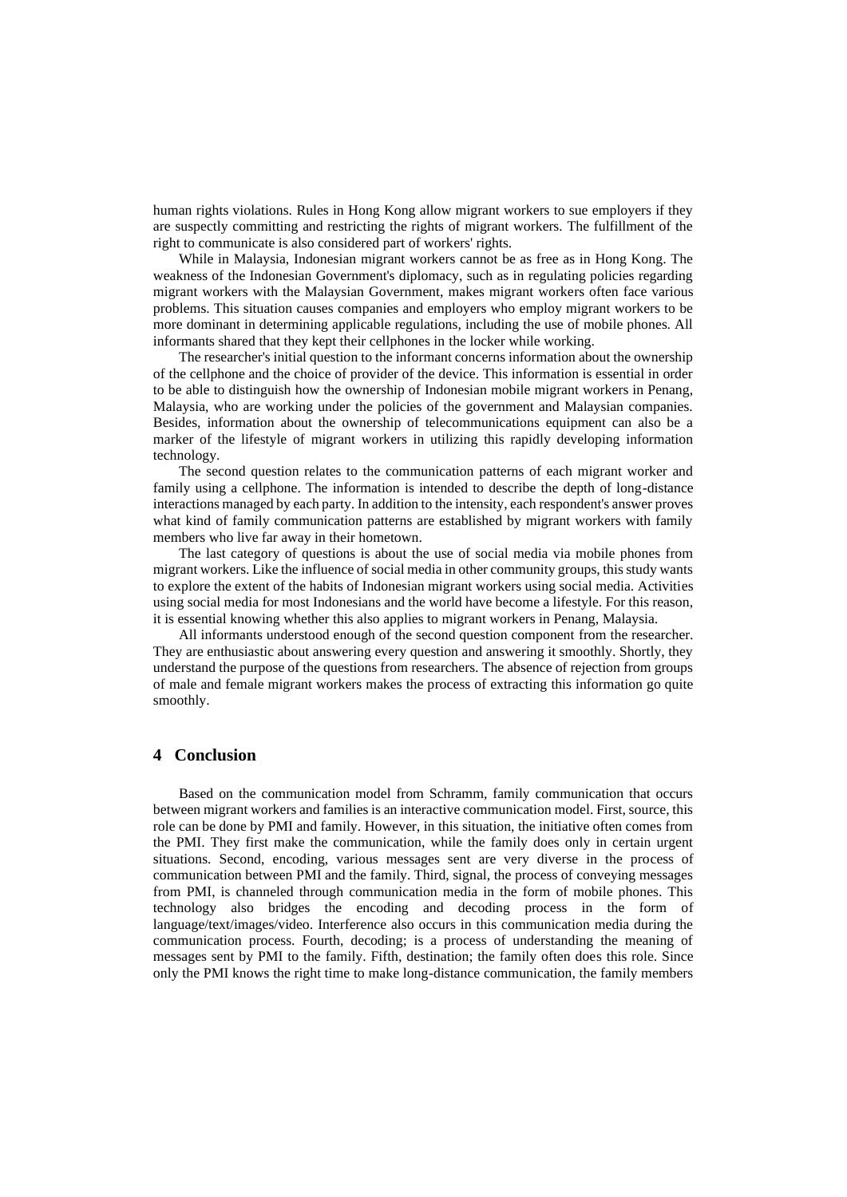human rights violations. Rules in Hong Kong allow migrant workers to sue employers if they are suspectly committing and restricting the rights of migrant workers. The fulfillment of the right to communicate is also considered part of workers' rights.

While in Malaysia, Indonesian migrant workers cannot be as free as in Hong Kong. The weakness of the Indonesian Government's diplomacy, such as in regulating policies regarding migrant workers with the Malaysian Government, makes migrant workers often face various problems. This situation causes companies and employers who employ migrant workers to be more dominant in determining applicable regulations, including the use of mobile phones. All informants shared that they kept their cellphones in the locker while working.

The researcher's initial question to the informant concerns information about the ownership of the cellphone and the choice of provider of the device. This information is essential in order to be able to distinguish how the ownership of Indonesian mobile migrant workers in Penang, Malaysia, who are working under the policies of the government and Malaysian companies. Besides, information about the ownership of telecommunications equipment can also be a marker of the lifestyle of migrant workers in utilizing this rapidly developing information technology.

The second question relates to the communication patterns of each migrant worker and family using a cellphone. The information is intended to describe the depth of long-distance interactions managed by each party. In addition to the intensity, each respondent's answer proves what kind of family communication patterns are established by migrant workers with family members who live far away in their hometown.

The last category of questions is about the use of social media via mobile phones from migrant workers. Like the influence of social media in other community groups, this study wants to explore the extent of the habits of Indonesian migrant workers using social media. Activities using social media for most Indonesians and the world have become a lifestyle. For this reason, it is essential knowing whether this also applies to migrant workers in Penang, Malaysia.

All informants understood enough of the second question component from the researcher. They are enthusiastic about answering every question and answering it smoothly. Shortly, they understand the purpose of the questions from researchers. The absence of rejection from groups of male and female migrant workers makes the process of extracting this information go quite smoothly.

### **4 Conclusion**

Based on the communication model from Schramm, family communication that occurs between migrant workers and families is an interactive communication model. First, source, this role can be done by PMI and family. However, in this situation, the initiative often comes from the PMI. They first make the communication, while the family does only in certain urgent situations. Second, encoding, various messages sent are very diverse in the process of communication between PMI and the family. Third, signal, the process of conveying messages from PMI, is channeled through communication media in the form of mobile phones. This technology also bridges the encoding and decoding process in the form of language/text/images/video. Interference also occurs in this communication media during the communication process. Fourth, decoding; is a process of understanding the meaning of messages sent by PMI to the family. Fifth, destination; the family often does this role. Since only the PMI knows the right time to make long-distance communication, the family members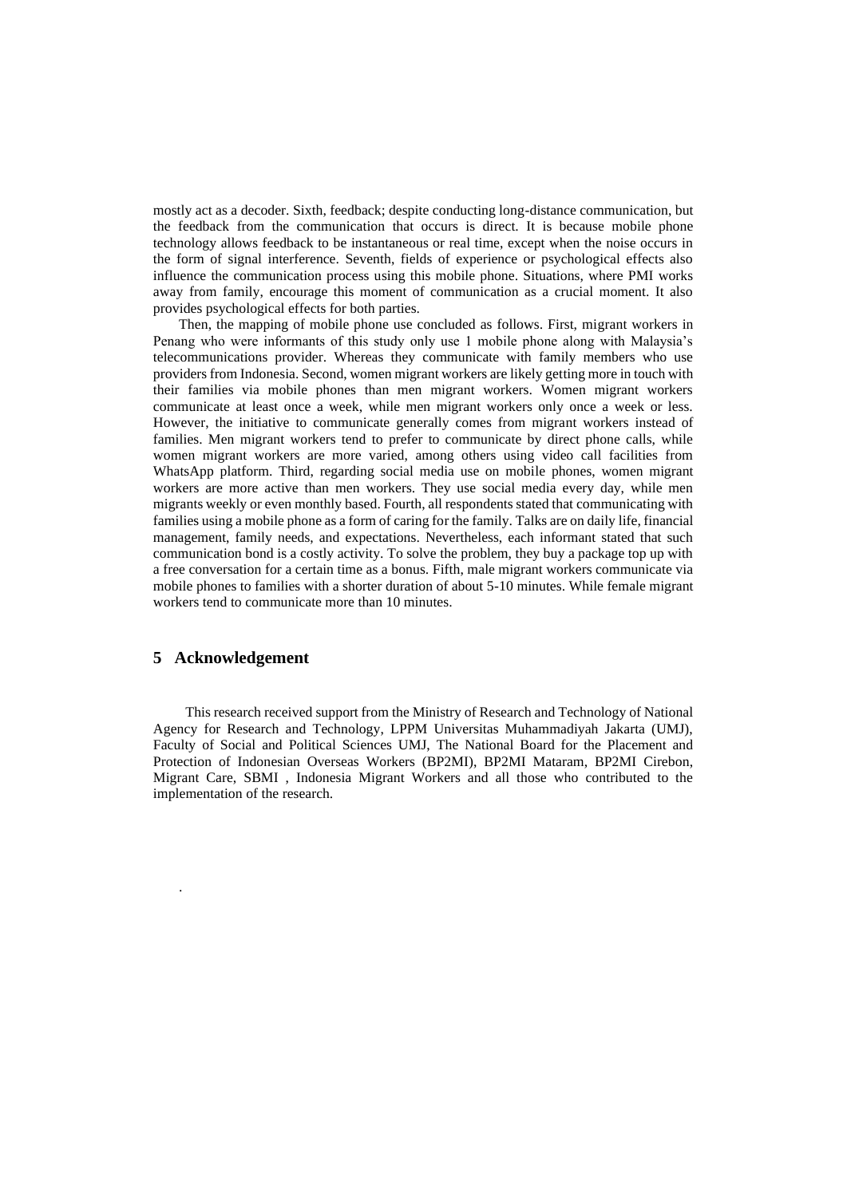mostly act as a decoder. Sixth, feedback; despite conducting long-distance communication, but the feedback from the communication that occurs is direct. It is because mobile phone technology allows feedback to be instantaneous or real time, except when the noise occurs in the form of signal interference. Seventh, fields of experience or psychological effects also influence the communication process using this mobile phone. Situations, where PMI works away from family, encourage this moment of communication as a crucial moment. It also provides psychological effects for both parties.

Then, the mapping of mobile phone use concluded as follows. First, migrant workers in Penang who were informants of this study only use 1 mobile phone along with Malaysia's telecommunications provider. Whereas they communicate with family members who use providers from Indonesia. Second, women migrant workers are likely getting more in touch with their families via mobile phones than men migrant workers. Women migrant workers communicate at least once a week, while men migrant workers only once a week or less. However, the initiative to communicate generally comes from migrant workers instead of families. Men migrant workers tend to prefer to communicate by direct phone calls, while women migrant workers are more varied, among others using video call facilities from WhatsApp platform. Third, regarding social media use on mobile phones, women migrant workers are more active than men workers. They use social media every day, while men migrants weekly or even monthly based. Fourth, all respondents stated that communicating with families using a mobile phone as a form of caring for the family. Talks are on daily life, financial management, family needs, and expectations. Nevertheless, each informant stated that such communication bond is a costly activity. To solve the problem, they buy a package top up with a free conversation for a certain time as a bonus. Fifth, male migrant workers communicate via mobile phones to families with a shorter duration of about 5-10 minutes. While female migrant workers tend to communicate more than 10 minutes.

#### **5 Acknowledgement**

.

This research received support from the Ministry of Research and Technology of National Agency for Research and Technology, LPPM Universitas Muhammadiyah Jakarta (UMJ), Faculty of Social and Political Sciences UMJ, The National Board for the Placement and Protection of Indonesian Overseas Workers (BP2MI), BP2MI Mataram, BP2MI Cirebon, Migrant Care, SBMI , Indonesia Migrant Workers and all those who contributed to the implementation of the research.